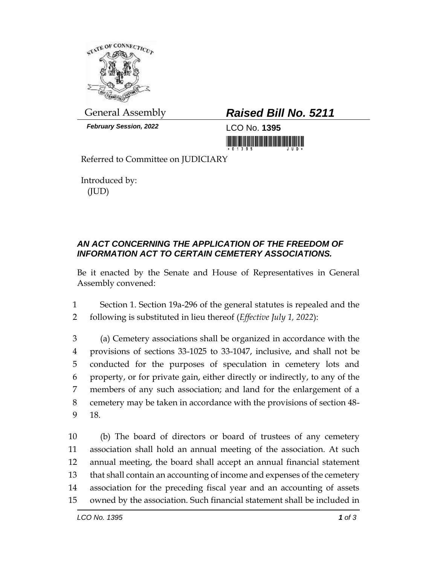

*February Session, 2022* LCO No. **1395**

## General Assembly *Raised Bill No. 5211*

<u>nin ini ini ini ini ini mumum mumi</u>

Referred to Committee on JUDICIARY

Introduced by: (JUD)

## *AN ACT CONCERNING THE APPLICATION OF THE FREEDOM OF INFORMATION ACT TO CERTAIN CEMETERY ASSOCIATIONS.*

Be it enacted by the Senate and House of Representatives in General Assembly convened:

1 Section 1. Section 19a-296 of the general statutes is repealed and the 2 following is substituted in lieu thereof (*Effective July 1, 2022*):

 (a) Cemetery associations shall be organized in accordance with the provisions of sections 33-1025 to 33-1047, inclusive, and shall not be conducted for the purposes of speculation in cemetery lots and property, or for private gain, either directly or indirectly, to any of the members of any such association; and land for the enlargement of a cemetery may be taken in accordance with the provisions of section 48- 9 18.

 (b) The board of directors or board of trustees of any cemetery association shall hold an annual meeting of the association. At such annual meeting, the board shall accept an annual financial statement that shall contain an accounting of income and expenses of the cemetery association for the preceding fiscal year and an accounting of assets owned by the association. Such financial statement shall be included in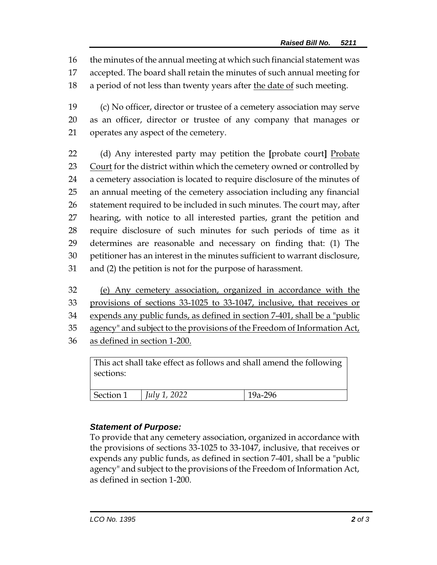16 the minutes of the annual meeting at which such financial statement was

- 17 accepted. The board shall retain the minutes of such annual meeting for
- 18 a period of not less than twenty years after the date of such meeting.
- 19 (c) No officer, director or trustee of a cemetery association may serve 20 as an officer, director or trustee of any company that manages or 21 operates any aspect of the cemetery.
- 22 (d) Any interested party may petition the [probate court] Probate 23 Court for the district within which the cemetery owned or controlled by 24 a cemetery association is located to require disclosure of the minutes of 25 an annual meeting of the cemetery association including any financial 26 statement required to be included in such minutes. The court may, after 27 hearing, with notice to all interested parties, grant the petition and 28 require disclosure of such minutes for such periods of time as it 29 determines are reasonable and necessary on finding that: (1) The 30 petitioner has an interest in the minutes sufficient to warrant disclosure, 31 and (2) the petition is not for the purpose of harassment.
- 32 (e) Any cemetery association, organized in accordance with the
- 33 provisions of sections 33-1025 to 33-1047, inclusive, that receives or
- 34 expends any public funds, as defined in section 7-401, shall be a "public
- 35 agency" and subject to the provisions of the Freedom of Information Act,
- 36 as defined in section 1-200.

This act shall take effect as follows and shall amend the following sections:

| Section 1 | $ $ <i>July 1, 2022</i> | 19a-296 |
|-----------|-------------------------|---------|

## *Statement of Purpose:*

To provide that any cemetery association, organized in accordance with the provisions of sections 33-1025 to 33-1047, inclusive, that receives or expends any public funds, as defined in section 7-401, shall be a "public agency" and subject to the provisions of the Freedom of Information Act, as defined in section 1-200.